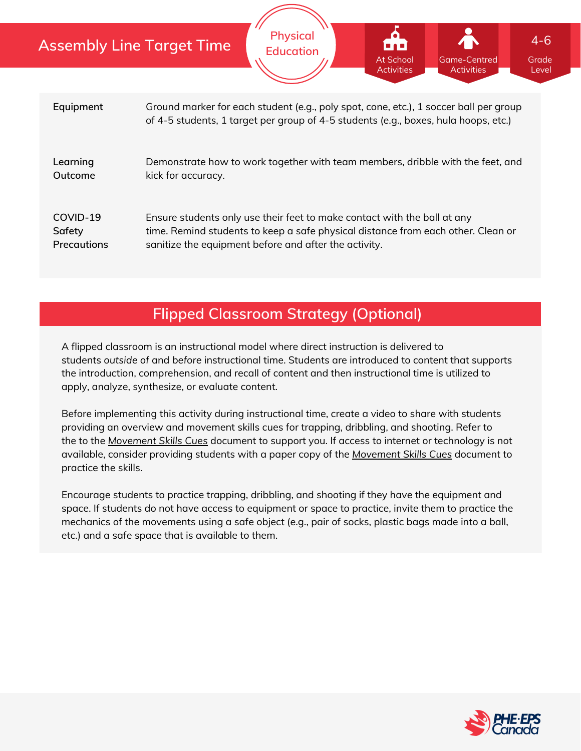|                                          | <b>Assembly Line Target Time</b>                                                                                                                                                                                      | <b>Physical</b><br><b>Education</b> | i no<br>At School<br><b>Activities</b> | <b>Game-Centred</b><br><b>Activities</b> | $4 - 6$<br>Grade<br>Level |  |  |
|------------------------------------------|-----------------------------------------------------------------------------------------------------------------------------------------------------------------------------------------------------------------------|-------------------------------------|----------------------------------------|------------------------------------------|---------------------------|--|--|
| Equipment                                | Ground marker for each student (e.g., poly spot, cone, etc.), 1 soccer ball per group<br>of 4-5 students, 1 target per group of 4-5 students (e.g., boxes, hula hoops, etc.)                                          |                                     |                                        |                                          |                           |  |  |
| Learning<br>Outcome                      | Demonstrate how to work together with team members, dribble with the feet, and<br>kick for accuracy.                                                                                                                  |                                     |                                        |                                          |                           |  |  |
| COVID-19<br>Safety<br><b>Precautions</b> | Ensure students only use their feet to make contact with the ball at any<br>time. Remind students to keep a safe physical distance from each other. Clean or<br>sanitize the equipment before and after the activity. |                                     |                                        |                                          |                           |  |  |

# **Flipped Classroom Strategy (Optional)**

A flipped classroom is an instructional model where direct instruction is delivered to students *outside of* and *before* instructional time. Students are introduced to content that supports the introduction, comprehension, and recall of content and then instructional time is utilized to apply, analyze, synthesize, or evaluate content.

Before implementing this activity during instructional time, create a video to share with students providing an overview and movement skills cues for trapping, dribbling, and shooting. Refer to the to the *[Movement](https://phecanada.ca/sites/default/files/content/docs/Home%20Learning%20Resource/Movement%20Cues/Movement%20Skills%20Cues%201.pdf) Skills Cues* document to support you. If access to internet or technology is not available, consider providing students with a paper copy of the *[Movement](https://phecanada.ca/sites/default/files/content/docs/Home%20Learning%20Resource/Movement%20Cues/Movement%20Skills%20Cues%201.pdf) Skills Cues* document to practice the skills.

Encourage students to practice trapping, dribbling, and shooting if they have the equipment and space. If students do not have access to equipment or space to practice, invite them to practice the mechanics of the movements using a safe object (e.g., pair of socks, plastic bags made into a ball, etc.) and a safe space that is available to them.

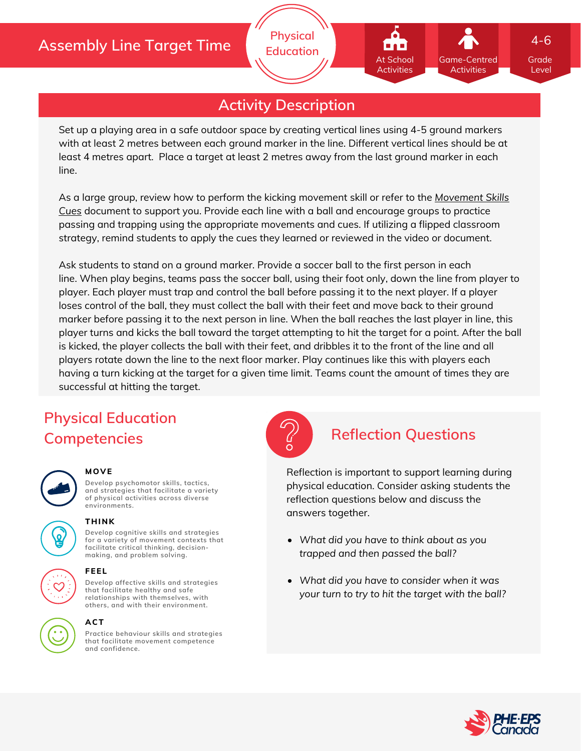## **Assembly Line Target Time**

# **Activity Description**

**Physical Education**

Set up a playing area in a safe outdoor space by creating vertical lines using 4-5 ground markers with at least 2 metres between each ground marker in the line. Different vertical lines should be at least 4 metres apart. Place a target at least 2 metres away from the last ground marker in each line.

As a large group, review how to perform the kicking [movement](https://phecanada.ca/sites/default/files/content/docs/Home%20Learning%20Resource/Movement%20Cues/Movement%20Skills%20Cues%201.pdf) skill or refer to the *Movement Skills Cues* document to support you. Provide each line with a ball and encourage groups to practice passing and trapping using the appropriate movements and cues. If utilizing a flipped classroom strategy, remind students to apply the cues they learned or reviewed in the video or document.

Ask students to stand on a ground marker. Provide a soccer ball to the first person in each line. When play begins, teams pass the soccer ball, using their foot only, down the line from player to player. Each player must trap and control the ball before passing it to the next player. If a player loses control of the ball, they must collect the ball with their feet and move back to their ground marker before passing it to the next person in line. When the ball reaches the last player in line, this player turns and kicks the ball toward the target attempting to hit the target for a point. After the ball is kicked, the player collects the ball with their feet, and dribbles it to the front of the line and all players rotate down the line to the next floor marker. Play continues like this with players each having a turn kicking at the target for a given time limit. Teams count the amount of times they are successful at hitting the target.

# **Physical Education Competencies Reflection Questions**

## **MOVE**

**Develop psychomotor skills, tactics, and strategies that facilitate a variety of physical activities across diverse environments.**





### **THINK**

**Develop cognitive skills and strategies for a variety of movement contexts that facilitate critical thinking, decision making, and problem solving.**



## **ACT**

**Practice behaviour skills and strategies that facilitate movement competence and confidence.**



Reflection is important to support learning during physical education. Consider asking students the reflection questions below and discuss the answers together.

- *What did you have to think about as you trapped and then passed the ball?*
- *What did you have to consider when it was your turn to try to hit the target with the ball?*



Grade Level

4-6

Game-Centred Activities

At School **Activities**